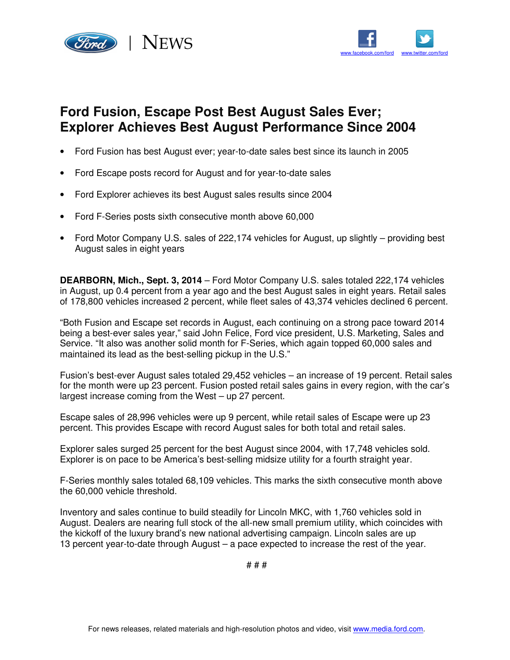



## **Ford Fusion, Escape Post Best August Sales Ever; Explorer Achieves Best August Performance Since 2004**

- Ford Fusion has best August ever; year-to-date sales best since its launch in 2005
- Ford Escape posts record for August and for year-to-date sales
- Ford Explorer achieves its best August sales results since 2004
- Ford F-Series posts sixth consecutive month above 60,000
- Ford Motor Company U.S. sales of 222,174 vehicles for August, up slightly providing best August sales in eight years

**DEARBORN, Mich., Sept. 3, 2014** – Ford Motor Company U.S. sales totaled 222,174 vehicles in August, up 0.4 percent from a year ago and the best August sales in eight years. Retail sales of 178,800 vehicles increased 2 percent, while fleet sales of 43,374 vehicles declined 6 percent.

"Both Fusion and Escape set records in August, each continuing on a strong pace toward 2014 being a best-ever sales year," said John Felice, Ford vice president, U.S. Marketing, Sales and Service. "It also was another solid month for F-Series, which again topped 60,000 sales and maintained its lead as the best-selling pickup in the U.S."

Fusion's best-ever August sales totaled 29,452 vehicles – an increase of 19 percent. Retail sales for the month were up 23 percent. Fusion posted retail sales gains in every region, with the car's largest increase coming from the West – up 27 percent.

Escape sales of 28,996 vehicles were up 9 percent, while retail sales of Escape were up 23 percent. This provides Escape with record August sales for both total and retail sales.

Explorer sales surged 25 percent for the best August since 2004, with 17,748 vehicles sold. Explorer is on pace to be America's best-selling midsize utility for a fourth straight year.

F-Series monthly sales totaled 68,109 vehicles. This marks the sixth consecutive month above the 60,000 vehicle threshold.

Inventory and sales continue to build steadily for Lincoln MKC, with 1,760 vehicles sold in August. Dealers are nearing full stock of the all-new small premium utility, which coincides with the kickoff of the luxury brand's new national advertising campaign. Lincoln sales are up 13 percent year-to-date through August – a pace expected to increase the rest of the year.

# # #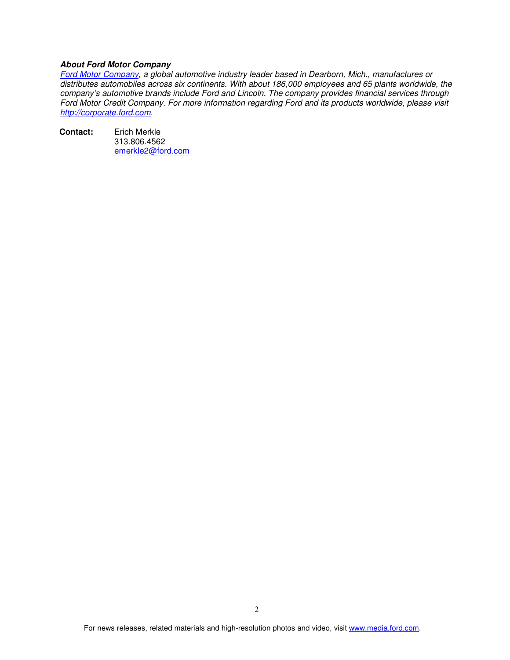## **About Ford Motor Company**

*Ford Motor Company, a global automotive industry leader based in Dearborn, Mich., manufactures or distributes automobiles across six continents. With about 186,000 employees and 65 plants worldwide, the company's automotive brands include Ford and Lincoln. The company provides financial services through Ford Motor Credit Company. For more information regarding Ford and its products worldwide, please visit http://corporate.ford.com.* 

**Contact:** Erich Merkle 313.806.4562 emerkle2@ford.com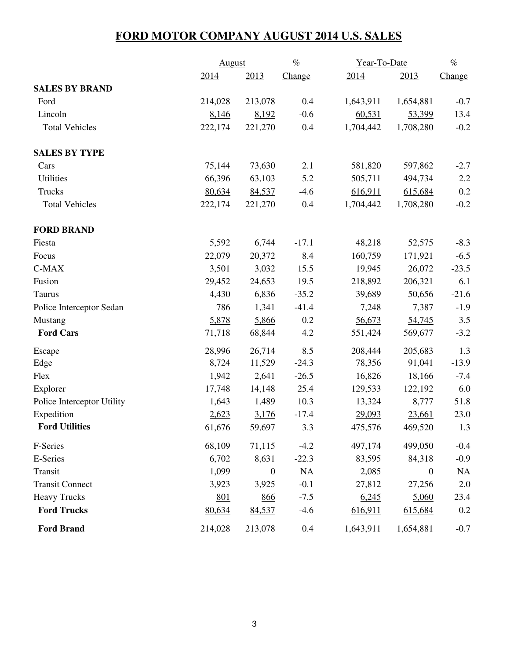## **FORD MOTOR COMPANY AUGUST 2014 U.S. SALES**

|                            |         | August           |           | Year-To-Date |                  | $\%$      |
|----------------------------|---------|------------------|-----------|--------------|------------------|-----------|
|                            | 2014    | 2013             | Change    | 2014         | 2013             | Change    |
| <b>SALES BY BRAND</b>      |         |                  |           |              |                  |           |
| Ford                       | 214,028 | 213,078          | 0.4       | 1,643,911    | 1,654,881        | $-0.7$    |
| Lincoln                    | 8,146   | 8,192            | $-0.6$    | 60,531       | 53,399           | 13.4      |
| <b>Total Vehicles</b>      | 222,174 | 221,270          | 0.4       | 1,704,442    | 1,708,280        | $-0.2$    |
| <b>SALES BY TYPE</b>       |         |                  |           |              |                  |           |
| Cars                       | 75,144  | 73,630           | 2.1       | 581,820      | 597,862          | $-2.7$    |
| <b>Utilities</b>           | 66,396  | 63,103           | 5.2       | 505,711      | 494,734          | 2.2       |
| Trucks                     | 80,634  | 84,537           | $-4.6$    | 616,911      | 615,684          | 0.2       |
| <b>Total Vehicles</b>      | 222,174 | 221,270          | 0.4       | 1,704,442    | 1,708,280        | $-0.2$    |
| <b>FORD BRAND</b>          |         |                  |           |              |                  |           |
| Fiesta                     | 5,592   | 6,744            | $-17.1$   | 48,218       | 52,575           | $-8.3$    |
| Focus                      | 22,079  | 20,372           | 8.4       | 160,759      | 171,921          | $-6.5$    |
| $C-MAX$                    | 3,501   | 3,032            | 15.5      | 19,945       | 26,072           | $-23.5$   |
| Fusion                     | 29,452  | 24,653           | 19.5      | 218,892      | 206,321          | 6.1       |
| Taurus                     | 4,430   | 6,836            | $-35.2$   | 39,689       | 50,656           | $-21.6$   |
| Police Interceptor Sedan   | 786     | 1,341            | $-41.4$   | 7,248        | 7,387            | $-1.9$    |
| Mustang                    | 5,878   | 5,866            | 0.2       | 56,673       | 54,745           | 3.5       |
| <b>Ford Cars</b>           | 71,718  | 68,844           | 4.2       | 551,424      | 569,677          | $-3.2$    |
| Escape                     | 28,996  | 26,714           | 8.5       | 208,444      | 205,683          | 1.3       |
| Edge                       | 8,724   | 11,529           | $-24.3$   | 78,356       | 91,041           | $-13.9$   |
| Flex                       | 1,942   | 2,641            | $-26.5$   | 16,826       | 18,166           | $-7.4$    |
| Explorer                   | 17,748  | 14,148           | 25.4      | 129,533      | 122,192          | 6.0       |
| Police Interceptor Utility | 1,643   | 1,489            | 10.3      | 13,324       | 8,777            | 51.8      |
| Expedition                 | 2,623   | 3,176            | $-17.4$   | 29,093       | 23,661           | 23.0      |
| <b>Ford Utilities</b>      | 61,676  | 59,697           | 3.3       | 475,576      | 469,520          | 1.3       |
| F-Series                   | 68,109  | 71,115           | $-4.2$    | 497,174      | 499,050          | $-0.4$    |
| E-Series                   | 6,702   | 8,631            | $-22.3$   | 83,595       | 84,318           | $-0.9$    |
| Transit                    | 1,099   | $\boldsymbol{0}$ | <b>NA</b> | 2,085        | $\boldsymbol{0}$ | <b>NA</b> |
| <b>Transit Connect</b>     | 3,923   | 3,925            | $-0.1$    | 27,812       | 27,256           | 2.0       |
| <b>Heavy Trucks</b>        | 801     | 866              | $-7.5$    | 6,245        | 5,060            | 23.4      |
| <b>Ford Trucks</b>         | 80,634  | 84,537           | $-4.6$    | 616,911      | 615,684          | 0.2       |
| <b>Ford Brand</b>          | 214,028 | 213,078          | 0.4       | 1,643,911    | 1,654,881        | $-0.7$    |